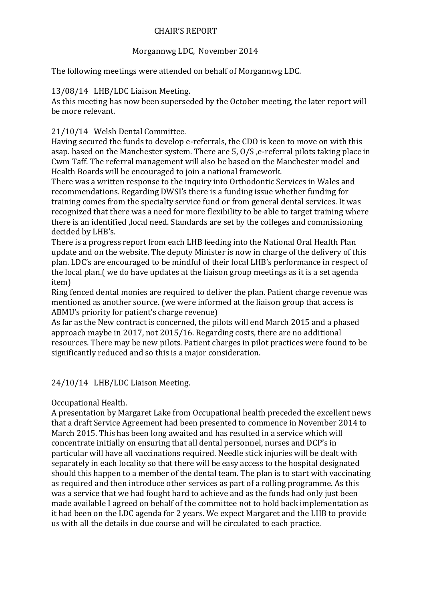### CHAIR'S REPORT

## Morgannwg LDC, November 2014

The following meetings were attended on behalf of Morgannwg LDC.

### 13/08/14 LHB/LDC Liaison Meeting.

As this meeting has now been superseded by the October meeting, the later report will be more relevant.

# 21/10/14 Welsh Dental Committee.

Having secured the funds to develop e-referrals, the CDO is keen to move on with this asap. based on the Manchester system. There are 5, O/S ,e-referral pilots taking place in Cwm Taff. The referral management will also be based on the Manchester model and Health Boards will be encouraged to join a national framework.

There was a written response to the inquiry into Orthodontic Services in Wales and recommendations. Regarding DWSI's there is a funding issue whether funding for training comes from the specialty service fund or from general dental services. It was recognized that there was a need for more flexibility to be able to target training where there is an identified ,local need. Standards are set by the colleges and commissioning decided by LHB's.

There is a progress report from each LHB feeding into the National Oral Health Plan update and on the website. The deputy Minister is now in charge of the delivery of this plan. LDC's are encouraged to be mindful of their local LHB's performance in respect of the local plan.( we do have updates at the liaison group meetings as it is a set agenda item)

Ring fenced dental monies are required to deliver the plan. Patient charge revenue was mentioned as another source. (we were informed at the liaison group that access is ABMU's priority for patient's charge revenue)

As far as the New contract is concerned, the pilots will end March 2015 and a phased approach maybe in 2017, not 2015/16. Regarding costs, there are no additional resources. There may be new pilots. Patient charges in pilot practices were found to be significantly reduced and so this is a major consideration.

# 24/10/14 LHB/LDC Liaison Meeting.

### Occupational Health.

A presentation by Margaret Lake from Occupational health preceded the excellent news that a draft Service Agreement had been presented to commence in November 2014 to March 2015. This has been long awaited and has resulted in a service which will concentrate initially on ensuring that all dental personnel, nurses and DCP's in particular will have all vaccinations required. Needle stick injuries will be dealt with separately in each locality so that there will be easy access to the hospital designated should this happen to a member of the dental team. The plan is to start with vaccinating as required and then introduce other services as part of a rolling programme. As this was a service that we had fought hard to achieve and as the funds had only just been made available I agreed on behalf of the committee not to hold back implementation as it had been on the LDC agenda for 2 years. We expect Margaret and the LHB to provide us with all the details in due course and will be circulated to each practice.